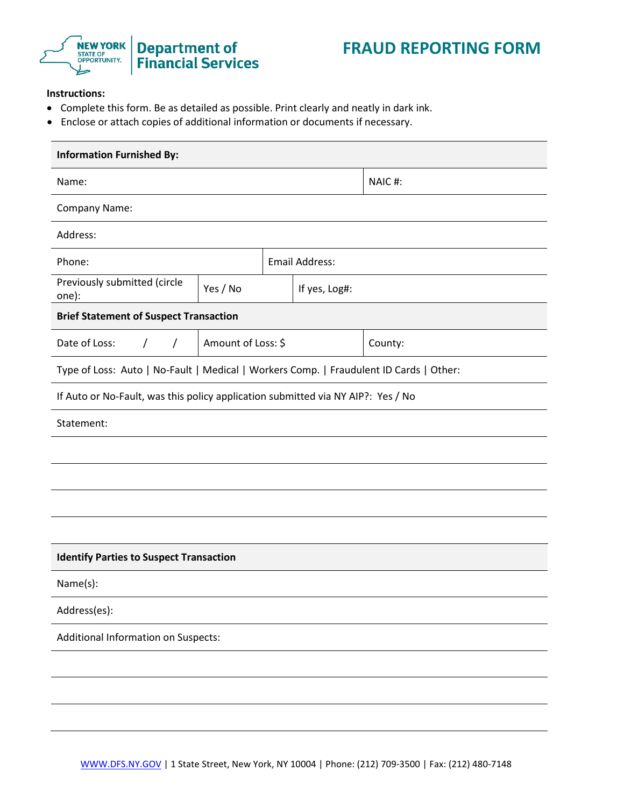

## **Instructions:**

- Complete this form. Be as detailed as possible. Print clearly and neatly in dark ink.
- Enclose or attach copies of additional information or documents if necessary.

| <b>Information Furnished By:</b>                                                       |                    |        |                |         |  |  |  |  |  |  |
|----------------------------------------------------------------------------------------|--------------------|--------|----------------|---------|--|--|--|--|--|--|
| Name:                                                                                  |                    | NAIC#: |                |         |  |  |  |  |  |  |
| Company Name:                                                                          |                    |        |                |         |  |  |  |  |  |  |
| Address:                                                                               |                    |        |                |         |  |  |  |  |  |  |
| Phone:                                                                                 |                    |        | Email Address: |         |  |  |  |  |  |  |
| Previously submitted (circle<br>one):                                                  | Yes / No           |        | If yes, Log#:  |         |  |  |  |  |  |  |
| <b>Brief Statement of Suspect Transaction</b>                                          |                    |        |                |         |  |  |  |  |  |  |
| Date of Loss:<br>$\sqrt{2}$<br>$\prime$                                                | Amount of Loss: \$ |        |                | County: |  |  |  |  |  |  |
| Type of Loss: Auto   No-Fault   Medical   Workers Comp.   Fraudulent ID Cards   Other: |                    |        |                |         |  |  |  |  |  |  |
| If Auto or No-Fault, was this policy application submitted via NY AIP?: Yes / No       |                    |        |                |         |  |  |  |  |  |  |
| Statement:                                                                             |                    |        |                |         |  |  |  |  |  |  |
|                                                                                        |                    |        |                |         |  |  |  |  |  |  |
|                                                                                        |                    |        |                |         |  |  |  |  |  |  |
|                                                                                        |                    |        |                |         |  |  |  |  |  |  |
|                                                                                        |                    |        |                |         |  |  |  |  |  |  |
| <b>Identify Parties to Suspect Transaction</b>                                         |                    |        |                |         |  |  |  |  |  |  |
| Name(s):                                                                               |                    |        |                |         |  |  |  |  |  |  |
| Address(es):                                                                           |                    |        |                |         |  |  |  |  |  |  |
| Additional Information on Suspects:                                                    |                    |        |                |         |  |  |  |  |  |  |
|                                                                                        |                    |        |                |         |  |  |  |  |  |  |
|                                                                                        |                    |        |                |         |  |  |  |  |  |  |
|                                                                                        |                    |        |                |         |  |  |  |  |  |  |
|                                                                                        |                    |        |                |         |  |  |  |  |  |  |